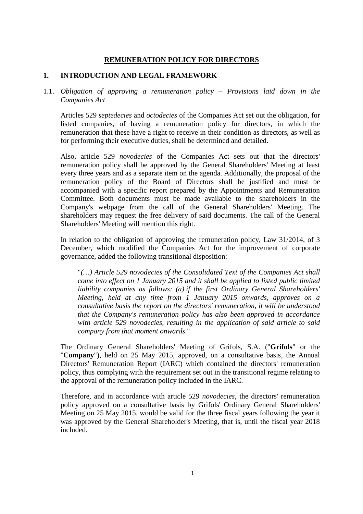# **REMUNERATION POLICY FOR DIRECTORS**

## **1. INTRODUCTION AND LEGAL FRAMEWORK**

1.1. *Obligation of approving a remuneration policy – Provisions laid down in the Companies Act* 

Articles 529 *septedecies* and *octodecies* of the Companies Act set out the obligation, for listed companies, of having a remuneration policy for directors, in which the remuneration that these have a right to receive in their condition as directors, as well as for performing their executive duties, shall be determined and detailed.

Also, article 529 *novodecies* of the Companies Act sets out that the directors' remuneration policy shall be approved by the General Shareholders' Meeting at least every three years and as a separate item on the agenda. Additionally, the proposal of the remuneration policy of the Board of Directors shall be justified and must be accompanied with a specific report prepared by the Appointments and Remuneration Committee. Both documents must be made available to the shareholders in the Company's webpage from the call of the General Shareholders' Meeting. The shareholders may request the free delivery of said documents. The call of the General Shareholders' Meeting will mention this right.

In relation to the obligation of approving the remuneration policy, Law 31/2014, of 3 December, which modified the Companies Act for the improvement of corporate governance, added the following transitional disposition:

"*(…) Article 529 novodecies of the Consolidated Text of the Companies Act shall come into effect on 1 January 2015 and it shall be applied to listed public limited liability companies as follows: (a) if the first Ordinary General Shareholders' Meeting, held at any time from 1 January 2015 onwards, approves on a consultative basis the report on the directors' remuneration, it will be understood that the Company's remuneration policy has also been approved in accordance with article 529 novodecies, resulting in the application of said article to said company from that moment onwards.*"

The Ordinary General Shareholders' Meeting of Grifols, S.A. ("**Grifols**" or the "**Company**"), held on 25 May 2015, approved, on a consultative basis, the Annual Directors' Remuneration Report (IARC) which contained the directors' remuneration policy, thus complying with the requirement set out in the transitional regime relating to the approval of the remuneration policy included in the IARC.

Therefore, and in accordance with article 529 *novodecies*, the directors' remuneration policy approved on a consultative basis by Grifols' Ordinary General Shareholders' Meeting on 25 May 2015, would be valid for the three fiscal years following the year it was approved by the General Shareholder's Meeting, that is, until the fiscal year 2018 included.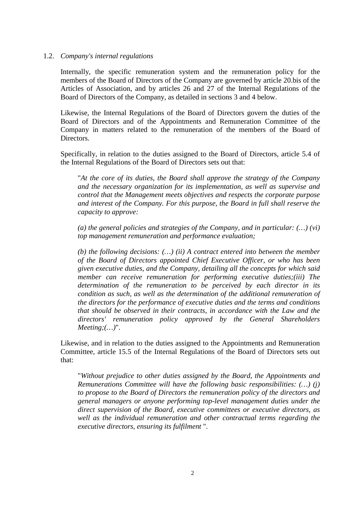#### 1.2. *Company's internal regulations*

Internally, the specific remuneration system and the remuneration policy for the members of the Board of Directors of the Company are governed by article 20.bis of the Articles of Association, and by articles 26 and 27 of the Internal Regulations of the Board of Directors of the Company, as detailed in sections 3 and 4 below.

Likewise, the Internal Regulations of the Board of Directors govern the duties of the Board of Directors and of the Appointments and Remuneration Committee of the Company in matters related to the remuneration of the members of the Board of Directors.

Specifically, in relation to the duties assigned to the Board of Directors, article 5.4 of the Internal Regulations of the Board of Directors sets out that:

"*At the core of its duties, the Board shall approve the strategy of the Company and the necessary organization for its implementation, as well as supervise and control that the Management meets objectives and respects the corporate purpose and interest of the Company. For this purpose, the Board in full shall reserve the capacity to approve:* 

*(a) the general policies and strategies of the Company, and in particular: (…) (vi) top management remuneration and performance evaluation;* 

*(b) the following decisions: (…) (ii) A contract entered into between the member of the Board of Directors appointed Chief Executive Officer, or who has been given executive duties, and the Company, detailing all the concepts for which said member can receive remuneration for performing executive duties;(iii) The determination of the remuneration to be perceived by each director in its condition as such, as well as the determination of the additional remuneration of the directors for the performance of executive duties and the terms and conditions that should be observed in their contracts, in accordance with the Law and the directors' remuneration policy approved by the General Shareholders Meeting;(…)*".

Likewise, and in relation to the duties assigned to the Appointments and Remuneration Committee, article 15.5 of the Internal Regulations of the Board of Directors sets out that:

"*Without prejudice to other duties assigned by the Board, the Appointments and Remunerations Committee will have the following basic responsibilities: (…) (j) to propose to the Board of Directors the remuneration policy of the directors and general managers or anyone performing top-level management duties under the direct supervision of the Board, executive committees or executive directors, as well as the individual remuneration and other contractual terms regarding the executive directors, ensuring its fulfilment* ".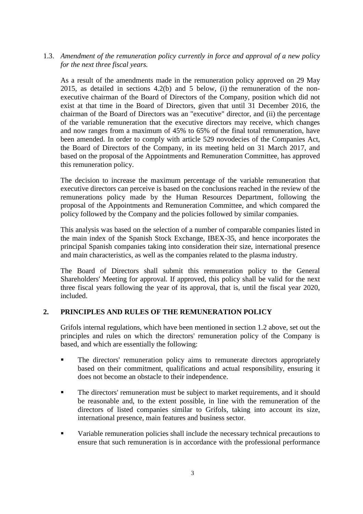1.3. *Amendment of the remuneration policy currently in force and approval of a new policy for the next three fiscal years.* 

As a result of the amendments made in the remuneration policy approved on 29 May 2015, as detailed in sections 4.2(b) and 5 below, (i) the remuneration of the nonexecutive chairman of the Board of Directors of the Company, position which did not exist at that time in the Board of Directors, given that until 31 December 2016, the chairman of the Board of Directors was an "executive" director, and (ii) the percentage of the variable remuneration that the executive directors may receive, which changes and now ranges from a maximum of 45% to 65% of the final total remuneration, have been amended. In order to comply with article 529 novodecies of the Companies Act, the Board of Directors of the Company, in its meeting held on 31 March 2017, and based on the proposal of the Appointments and Remuneration Committee, has approved this remuneration policy.

The decision to increase the maximum percentage of the variable remuneration that executive directors can perceive is based on the conclusions reached in the review of the remunerations policy made by the Human Resources Department, following the proposal of the Appointments and Remuneration Committee, and which compared the policy followed by the Company and the policies followed by similar companies.

This analysis was based on the selection of a number of comparable companies listed in the main index of the Spanish Stock Exchange, IBEX-35, and hence incorporates the principal Spanish companies taking into consideration their size, international presence and main characteristics, as well as the companies related to the plasma industry.

The Board of Directors shall submit this remuneration policy to the General Shareholders' Meeting for approval. If approved, this policy shall be valid for the next three fiscal years following the year of its approval, that is, until the fiscal year 2020, included.

## **2. PRINCIPLES AND RULES OF THE REMUNERATION POLICY**

Grifols internal regulations, which have been mentioned in section 1.2 above, set out the principles and rules on which the directors' remuneration policy of the Company is based, and which are essentially the following:

- The directors' remuneration policy aims to remunerate directors appropriately based on their commitment, qualifications and actual responsibility, ensuring it does not become an obstacle to their independence.
- The directors' remuneration must be subject to market requirements, and it should be reasonable and, to the extent possible, in line with the remuneration of the directors of listed companies similar to Grifols, taking into account its size, international presence, main features and business sector.
- Variable remuneration policies shall include the necessary technical precautions to ensure that such remuneration is in accordance with the professional performance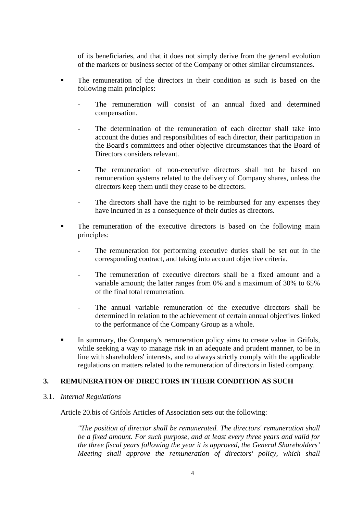of its beneficiaries, and that it does not simply derive from the general evolution of the markets or business sector of the Company or other similar circumstances.

- The remuneration of the directors in their condition as such is based on the following main principles:
	- The remuneration will consist of an annual fixed and determined compensation.
	- The determination of the remuneration of each director shall take into account the duties and responsibilities of each director, their participation in the Board's committees and other objective circumstances that the Board of Directors considers relevant.
	- The remuneration of non-executive directors shall not be based on remuneration systems related to the delivery of Company shares, unless the directors keep them until they cease to be directors.
	- The directors shall have the right to be reimbursed for any expenses they have incurred in as a consequence of their duties as directors.
- The remuneration of the executive directors is based on the following main principles:
	- The remuneration for performing executive duties shall be set out in the corresponding contract, and taking into account objective criteria.
	- The remuneration of executive directors shall be a fixed amount and a variable amount; the latter ranges from 0% and a maximum of 30% to 65% of the final total remuneration.
	- The annual variable remuneration of the executive directors shall be determined in relation to the achievement of certain annual objectives linked to the performance of the Company Group as a whole.
- In summary, the Company's remuneration policy aims to create value in Grifols, while seeking a way to manage risk in an adequate and prudent manner, to be in line with shareholders' interests, and to always strictly comply with the applicable regulations on matters related to the remuneration of directors in listed company.

# **3. REMUNERATION OF DIRECTORS IN THEIR CONDITION AS SUCH**

3.1. *Internal Regulations* 

Article 20.bis of Grifols Articles of Association sets out the following:

*"The position of director shall be remunerated. The directors' remuneration shall be a fixed amount. For such purpose, and at least every three years and valid for the three fiscal years following the year it is approved, the General Shareholders' Meeting shall approve the remuneration of directors' policy, which shall*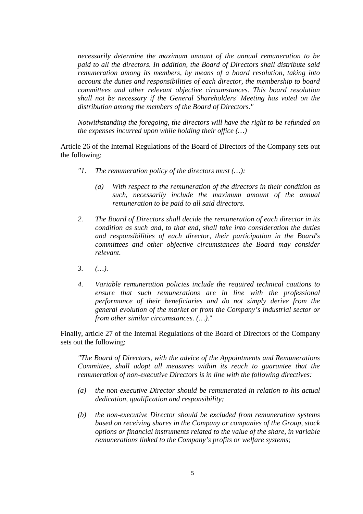*necessarily determine the maximum amount of the annual remuneration to be paid to all the directors. In addition, the Board of Directors shall distribute said remuneration among its members, by means of a board resolution, taking into account the duties and responsibilities of each director, the membership to board committees and other relevant objective circumstances. This board resolution shall not be necessary if the General Shareholders' Meeting has voted on the distribution among the members of the Board of Directors."* 

*Notwithstanding the foregoing, the directors will have the right to be refunded on the expenses incurred upon while holding their office (…)* 

Article 26 of the Internal Regulations of the Board of Directors of the Company sets out the following:

- *"1. The remuneration policy of the directors must (…):* 
	- *(a) With respect to the remuneration of the directors in their condition as such, necessarily include the maximum amount of the annual remuneration to be paid to all said directors.*
- *2. The Board of Directors shall decide the remuneration of each director in its condition as such and, to that end, shall take into consideration the duties and responsibilities of each director, their participation in the Board's committees and other objective circumstances the Board may consider relevant.*
- *3. (…).*
- *4. Variable remuneration policies include the required technical cautions to ensure that such remunerations are in line with the professional performance of their beneficiaries and do not simply derive from the general evolution of the market or from the Company's industrial sector or from other similar circumstances. (…).*"

Finally, article 27 of the Internal Regulations of the Board of Directors of the Company sets out the following:

*"The Board of Directors, with the advice of the Appointments and Remunerations Committee, shall adopt all measures within its reach to guarantee that the remuneration of non-executive Directors is in line with the following directives:* 

- *(a) the non-executive Director should be remunerated in relation to his actual dedication, qualification and responsibility;*
- *(b) the non-executive Director should be excluded from remuneration systems based on receiving shares in the Company or companies of the Group, stock options or financial instruments related to the value of the share, in variable remunerations linked to the Company's profits or welfare systems;*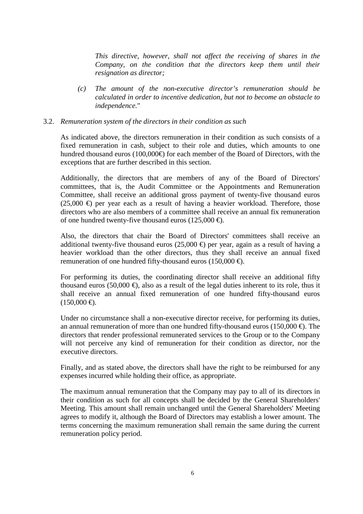*This directive, however, shall not affect the receiving of shares in the Company, on the condition that the directors keep them until their resignation as director;* 

*(c) The amount of the non-executive director's remuneration should be calculated in order to incentive dedication, but not to become an obstacle to independence.*"

### 3.2. *Remuneration system of the directors in their condition as such*

As indicated above, the directors remuneration in their condition as such consists of a fixed remuneration in cash, subject to their role and duties, which amounts to one hundred thousand euros (100,000€) for each member of the Board of Directors, with the exceptions that are further described in this section.

Additionally, the directors that are members of any of the Board of Directors' committees, that is, the Audit Committee or the Appointments and Remuneration Committee, shall receive an additional gross payment of twenty-five thousand euros  $(25,000 \Leftrightarrow$  per year each as a result of having a heavier workload. Therefore, those directors who are also members of a committee shall receive an annual fix remuneration of one hundred twenty-five thousand euros (125,000  $\oplus$ ).

Also, the directors that chair the Board of Directors' committees shall receive an additional twenty-five thousand euros (25,000  $\oplus$ ) per year, again as a result of having a heavier workload than the other directors, thus they shall receive an annual fixed remuneration of one hundred fifty-thousand euros (150,000  $\oplus$ ).

For performing its duties, the coordinating director shall receive an additional fifty thousand euros (50,000  $\oplus$ ), also as a result of the legal duties inherent to its role, thus it shall receive an annual fixed remuneration of one hundred fifty-thousand euros  $(150,000 \in ).$ 

Under no circumstance shall a non-executive director receive, for performing its duties, an annual remuneration of more than one hundred fifty-thousand euros (150,000  $\oplus$ ). The directors that render professional remunerated services to the Group or to the Company will not perceive any kind of remuneration for their condition as director, nor the executive directors.

Finally, and as stated above, the directors shall have the right to be reimbursed for any expenses incurred while holding their office, as appropriate.

The maximum annual remuneration that the Company may pay to all of its directors in their condition as such for all concepts shall be decided by the General Shareholders' Meeting. This amount shall remain unchanged until the General Shareholders' Meeting agrees to modify it, although the Board of Directors may establish a lower amount. The terms concerning the maximum remuneration shall remain the same during the current remuneration policy period.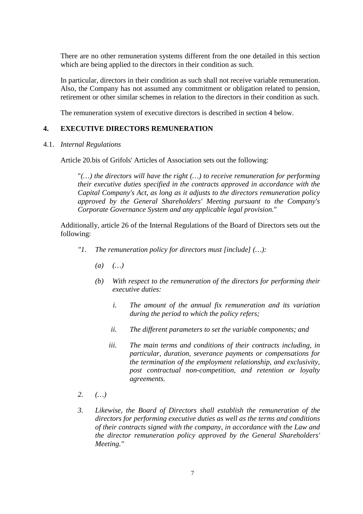There are no other remuneration systems different from the one detailed in this section which are being applied to the directors in their condition as such.

In particular, directors in their condition as such shall not receive variable remuneration. Also, the Company has not assumed any commitment or obligation related to pension, retirement or other similar schemes in relation to the directors in their condition as such.

The remuneration system of executive directors is described in section 4 below.

### **4. EXECUTIVE DIRECTORS REMUNERATION**

4.1. *Internal Regulations* 

Article 20.bis of Grifols' Articles of Association sets out the following:

"*(…) the directors will have the right (…) to receive remuneration for performing their executive duties specified in the contracts approved in accordance with the Capital Company's Act, as long as it adjusts to the directors remuneration policy approved by the General Shareholders' Meeting pursuant to the Company's Corporate Governance System and any applicable legal provision.*"

Additionally, article 26 of the Internal Regulations of the Board of Directors sets out the following:

- *"1. The remuneration policy for directors must [include] (…):* 
	- *(a) (…)*
	- *(b) With respect to the remuneration of the directors for performing their executive duties:* 
		- *i. The amount of the annual fix remuneration and its variation during the period to which the policy refers;*
		- *ii. The different parameters to set the variable components; and*
		- *iii. The main terms and conditions of their contracts including, in particular, duration, severance payments or compensations for the termination of the employment relationship, and exclusivity, post contractual non-competition, and retention or loyalty agreements.*
- *2. (…)*
- *3. Likewise, the Board of Directors shall establish the remuneration of the directors for performing executive duties as well as the terms and conditions of their contracts signed with the company, in accordance with the Law and the director remuneration policy approved by the General Shareholders' Meeting."*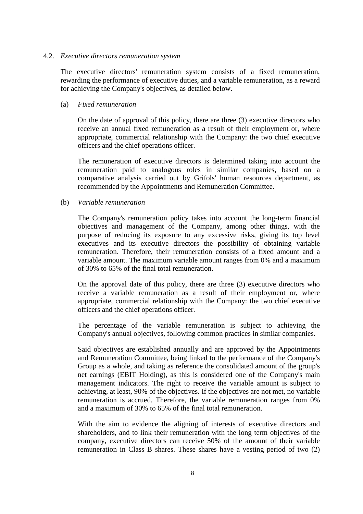#### 4.2. *Executive directors remuneration system*

The executive directors' remuneration system consists of a fixed remuneration, rewarding the performance of executive duties, and a variable remuneration, as a reward for achieving the Company's objectives, as detailed below.

#### (a) *Fixed remuneration*

On the date of approval of this policy, there are three (3) executive directors who receive an annual fixed remuneration as a result of their employment or, where appropriate, commercial relationship with the Company: the two chief executive officers and the chief operations officer.

The remuneration of executive directors is determined taking into account the remuneration paid to analogous roles in similar companies, based on a comparative analysis carried out by Grifols' human resources department, as recommended by the Appointments and Remuneration Committee.

### (b) *Variable remuneration*

The Company's remuneration policy takes into account the long-term financial objectives and management of the Company, among other things, with the purpose of reducing its exposure to any excessive risks, giving its top level executives and its executive directors the possibility of obtaining variable remuneration. Therefore, their remuneration consists of a fixed amount and a variable amount. The maximum variable amount ranges from 0% and a maximum of 30% to 65% of the final total remuneration.

On the approval date of this policy, there are three (3) executive directors who receive a variable remuneration as a result of their employment or, where appropriate, commercial relationship with the Company: the two chief executive officers and the chief operations officer.

The percentage of the variable remuneration is subject to achieving the Company's annual objectives, following common practices in similar companies.

Said objectives are established annually and are approved by the Appointments and Remuneration Committee, being linked to the performance of the Company's Group as a whole, and taking as reference the consolidated amount of the group's net earnings (EBIT Holding), as this is considered one of the Company's main management indicators. The right to receive the variable amount is subject to achieving, at least, 90% of the objectives. If the objectives are not met, no variable remuneration is accrued. Therefore, the variable remuneration ranges from 0% and a maximum of 30% to 65% of the final total remuneration.

With the aim to evidence the aligning of interests of executive directors and shareholders, and to link their remuneration with the long term objectives of the company, executive directors can receive 50% of the amount of their variable remuneration in Class B shares. These shares have a vesting period of two (2)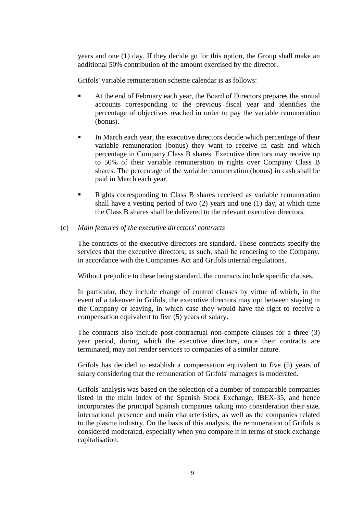years and one (1) day. If they decide go for this option, the Group shall make an additional 50% contribution of the amount exercised by the director.

Grifols' variable remuneration scheme calendar is as follows:

- At the end of February each year, the Board of Directors prepares the annual accounts corresponding to the previous fiscal year and identifies the percentage of objectives reached in order to pay the variable remuneration (bonus).
- In March each year, the executive directors decide which percentage of their variable remuneration (bonus) they want to receive in cash and which percentage in Company Class B shares. Executive directors may receive up to 50% of their variable remuneration in rights over Company Class B shares. The percentage of the variable remuneration (bonus) in cash shall be paid in March each year.
- Rights corresponding to Class B shares received as variable remuneration shall have a vesting period of two (2) years and one (1) day, at which time the Class B shares shall be delivered to the relevant executive directors.
- (c) *Main features of the executive directors' contracts*

The contracts of the executive directors are standard. These contracts specify the services that the executive directors, as such, shall be rendering to the Company, in accordance with the Companies Act and Grifols internal regulations.

Without prejudice to these being standard, the contracts include specific clauses.

In particular, they include change of control clauses by virtue of which, in the event of a takeover in Grifols, the executive directors may opt between staying in the Company or leaving, in which case they would have the right to receive a compensation equivalent to five (5) years of salary.

The contracts also include post-contractual non-compete clauses for a three (3) year period, during which the executive directors, once their contracts are terminated, may not render services to companies of a similar nature.

Grifols has decided to establish a compensation equivalent to five (5) years of salary considering that the remuneration of Grifols' managers is moderated.

Grifols' analysis was based on the selection of a number of comparable companies listed in the main index of the Spanish Stock Exchange, IBEX-35, and hence incorporates the principal Spanish companies taking into consideration their size, international presence and main characteristics, as well as the companies related to the plasma industry. On the basis of this analysis, the remuneration of Grifols is considered moderated, especially when you compare it in terms of stock exchange capitalisation.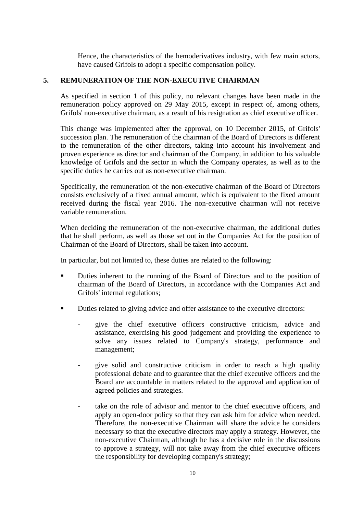Hence, the characteristics of the hemoderivatives industry, with few main actors, have caused Grifols to adopt a specific compensation policy.

## **5. REMUNERATION OF THE NON-EXECUTIVE CHAIRMAN**

As specified in section 1 of this policy, no relevant changes have been made in the remuneration policy approved on 29 May 2015, except in respect of, among others, Grifols' non-executive chairman, as a result of his resignation as chief executive officer.

This change was implemented after the approval, on 10 December 2015, of Grifols' succession plan. The remuneration of the chairman of the Board of Directors is different to the remuneration of the other directors, taking into account his involvement and proven experience as director and chairman of the Company, in addition to his valuable knowledge of Grifols and the sector in which the Company operates, as well as to the specific duties he carries out as non-executive chairman.

Specifically, the remuneration of the non-executive chairman of the Board of Directors consists exclusively of a fixed annual amount, which is equivalent to the fixed amount received during the fiscal year 2016. The non-executive chairman will not receive variable remuneration.

When deciding the remuneration of the non-executive chairman, the additional duties that he shall perform, as well as those set out in the Companies Act for the position of Chairman of the Board of Directors, shall be taken into account.

In particular, but not limited to, these duties are related to the following:

- Duties inherent to the running of the Board of Directors and to the position of chairman of the Board of Directors, in accordance with the Companies Act and Grifols' internal regulations;
- Duties related to giving advice and offer assistance to the executive directors:
	- give the chief executive officers constructive criticism, advice and assistance, exercising his good judgement and providing the experience to solve any issues related to Company's strategy, performance and management;
	- give solid and constructive criticism in order to reach a high quality professional debate and to guarantee that the chief executive officers and the Board are accountable in matters related to the approval and application of agreed policies and strategies.
	- take on the role of advisor and mentor to the chief executive officers, and apply an open-door policy so that they can ask him for advice when needed. Therefore, the non-executive Chairman will share the advice he considers necessary so that the executive directors may apply a strategy. However, the non-executive Chairman, although he has a decisive role in the discussions to approve a strategy, will not take away from the chief executive officers the responsibility for developing company's strategy;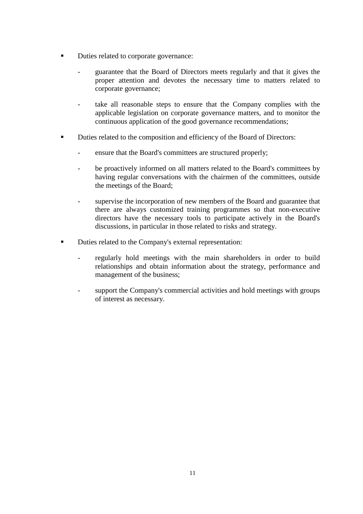- Duties related to corporate governance:
	- guarantee that the Board of Directors meets regularly and that it gives the proper attention and devotes the necessary time to matters related to corporate governance;
	- take all reasonable steps to ensure that the Company complies with the applicable legislation on corporate governance matters, and to monitor the continuous application of the good governance recommendations;
- Duties related to the composition and efficiency of the Board of Directors:
	- ensure that the Board's committees are structured properly;
	- be proactively informed on all matters related to the Board's committees by having regular conversations with the chairmen of the committees, outside the meetings of the Board;
	- supervise the incorporation of new members of the Board and guarantee that there are always customized training programmes so that non-executive directors have the necessary tools to participate actively in the Board's discussions, in particular in those related to risks and strategy.
- Duties related to the Company's external representation:
	- regularly hold meetings with the main shareholders in order to build relationships and obtain information about the strategy, performance and management of the business;
	- support the Company's commercial activities and hold meetings with groups of interest as necessary.